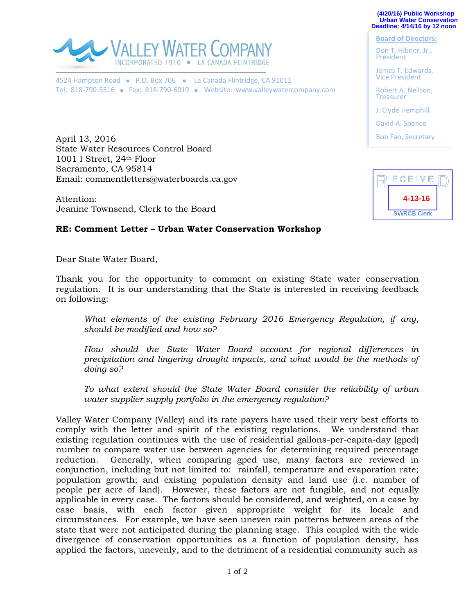**(4/20/16) Public Workshop Urban Water Conservation Deadline: 4/14/16 by 12 noon** 

**Board of Directors:** Don T. Hibner, Jr., President

James T. Edwards, Vice President Robert A. Neilson, **Treasurer** 

J. Clyde Hemphill David A. Spence Bob Fan, Secretary



4524 Hampton Road P.O. Box 706 La Canada Flintridge, CA 91011 Tel: 818-790-5516 - Fax: 818-790-6019 - Website: www.valleywatercompany.com

April 13, 2016 State Water Resources Control Board 1001 I Street, 24th Floor Sacramento, CA 95814 Email: commentletters@waterboards.ca.gov

Attention: Jeanine Townsend, Clerk to the Board



## **RE: Comment Letter – Urban Water Conservation Workshop**

Dear State Water Board,

Thank you for the opportunity to comment on existing State water conservation regulation. It is our understanding that the State is interested in receiving feedback on following:

*What elements of the existing February 2016 Emergency Regulation, if any, should be modified and how so?*

*How should the State Water Board account for regional differences in precipitation and lingering drought impacts, and what would be the methods of doing so?*

*To what extent should the State Water Board consider the reliability of urban water supplier supply portfolio in the emergency regulation?*

Valley Water Company (Valley) and its rate payers have used their very best efforts to comply with the letter and spirit of the existing regulations. We understand that existing regulation continues with the use of residential gallons-per-capita-day (gpcd) number to compare water use between agencies for determining required percentage reduction. Generally, when comparing gpcd use, many factors are reviewed in conjunction, including but not limited to: rainfall, temperature and evaporation rate; population growth; and existing population density and land use (i.e. number of people per acre of land). However, these factors are not fungible, and not equally applicable in every case. The factors should be considered, and weighted, on a case by case basis, with each factor given appropriate weight for its locale and circumstances. For example, we have seen uneven rain patterns between areas of the state that were not anticipated during the planning stage. This coupled with the wide divergence of conservation opportunities as a function of population density, has applied the factors, unevenly, and to the detriment of a residential community such as